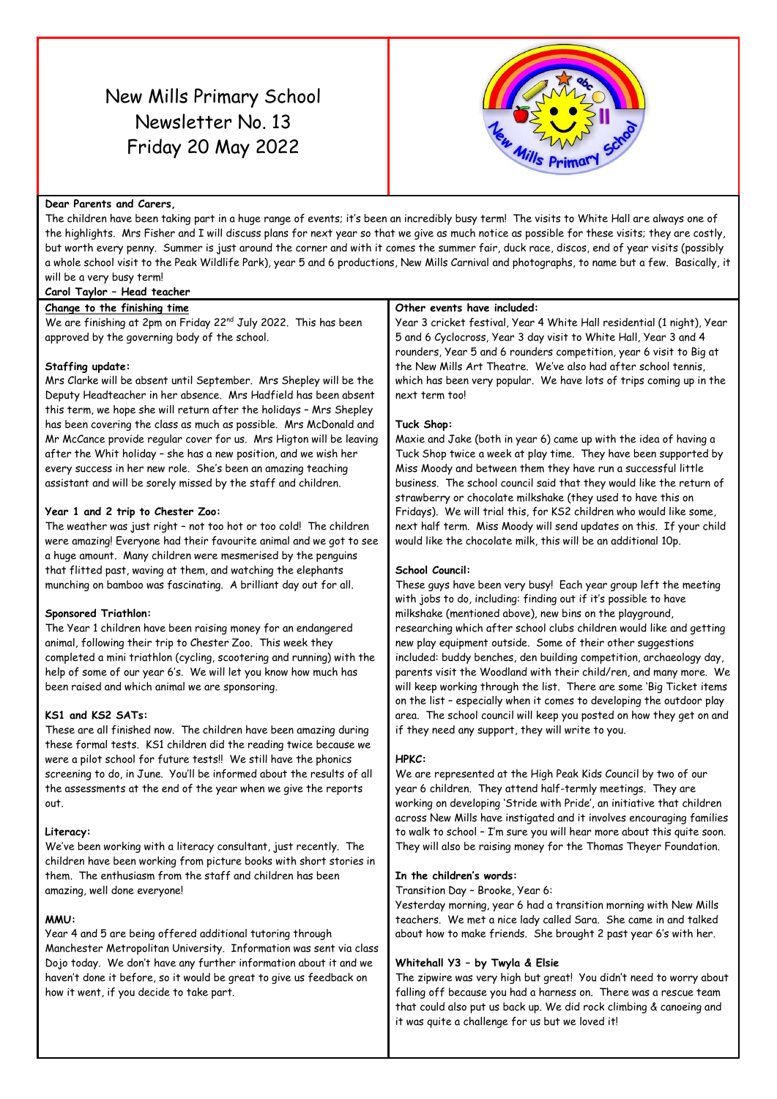# New Mills Primary School Newsletter No. 13 Friday 20 May 2022



#### **Dear Parents and Carers,**

The children have been taking part in a huge range of events; it's been an incredibly busy term! The visits to White Hall are always one of the highlights. Mrs Fisher and I will discuss plans for next year so that we give as much notice as possible for these visits; they are costly, but worth every penny. Summer is just around the corner and with it comes the summer fair, duck race, discos, end of year visits (possibly a whole school visit to the Peak Wildlife Park), year 5 and 6 productions, New Mills Carnival and photographs, to name but a few. Basically, it will be a very busy term!

# **Carol Taylor – Head teacher**

**Change to the finishing time** We are finishing at 2pm on Friday 22<sup>nd</sup> July 2022. This has been approved by the governing body of the school.

#### **Staffing update:**

Mrs Clarke will be absent until September. Mrs Shepley will be the Deputy Headteacher in her absence. Mrs Hadfield has been absent this term, we hope she will return after the holidays – Mrs Shepley has been covering the class as much as possible. Mrs McDonald and Mr McCance provide regular cover for us. Mrs Higton will be leaving after the Whit holiday – she has a new position, and we wish her every success in her new role. She's been an amazing teaching assistant and will be sorely missed by the staff and children.

#### **Year 1 and 2 trip to Chester Zoo:**

The weather was just right – not too hot or too cold! The children were amazing! Everyone had their favourite animal and we got to see a huge amount. Many children were mesmerised by the penguins that flitted past, waving at them, and watching the elephants munching on bamboo was fascinating. A brilliant day out for all.

# **Sponsored Triathlon:**

The Year 1 children have been raising money for an endangered animal, following their trip to Chester Zoo. This week they completed a mini triathlon (cycling, scootering and running) with the help of some of our year 6's. We will let you know how much has been raised and which animal we are sponsoring.

# **KS1 and KS2 SATs:**

These are all finished now. The children have been amazing during these formal tests. KS1 children did the reading twice because we were a pilot school for future tests!! We still have the phonics screening to do, in June. You'll be informed about the results of all the assessments at the end of the year when we give the reports out.

# **Literacy:**

We've been working with a literacy consultant, just recently. The children have been working from picture books with short stories in them. The enthusiasm from the staff and children has been amazing, well done everyone!

# **MMU:**

Year 4 and 5 are being offered additional tutoring through Manchester Metropolitan University. Information was sent via class Dojo today. We don't have any further information about it and we haven't done it before, so it would be great to give us feedback on how it went, if you decide to take part.

#### **Other events have included:**

Year 3 cricket festival, Year 4 White Hall residential (1 night), Year 5 and 6 Cyclocross, Year 3 day visit to White Hall, Year 3 and 4 rounders, Year 5 and 6 rounders competition, year 6 visit to Big at the New Mills Art Theatre. We've also had after school tennis, which has been very popular. We have lots of trips coming up in the next term too!

#### **Tuck Shop:**

Maxie and Jake (both in year 6) came up with the idea of having a Tuck Shop twice a week at play time. They have been supported by Miss Moody and between them they have run a successful little business. The school council said that they would like the return of strawberry or chocolate milkshake (they used to have this on Fridays). We will trial this, for KS2 children who would like some, next half term. Miss Moody will send updates on this. If your child would like the chocolate milk, this will be an additional 10p.

# **School Council:**

These guys have been very busy! Each year group left the meeting with jobs to do, including: finding out if it's possible to have milkshake (mentioned above), new bins on the playground, researching which after school clubs children would like and getting new play equipment outside. Some of their other suggestions included: buddy benches, den building competition, archaeology day, parents visit the Woodland with their child/ren, and many more. We will keep working through the list. There are some 'Big Ticket items on the list – especially when it comes to developing the outdoor play area. The school council will keep you posted on how they get on and if they need any support, they will write to you.

#### **HPKC:**

We are represented at the High Peak Kids Council by two of our year 6 children. They attend half-termly meetings. They are working on developing 'Stride with Pride', an initiative that children across New Mills have instigated and it involves encouraging families to walk to school – I'm sure you will hear more about this quite soon. They will also be raising money for the Thomas Theyer Foundation.

#### **In the children's words:**

Transition Day – Brooke, Year 6:

Yesterday morning, year 6 had a transition morning with New Mills teachers. We met a nice lady called Sara. She came in and talked about how to make friends. She brought 2 past year 6's with her.

# **Whitehall Y3 – by Twyla & Elsie**

The zipwire was very high but great! You didn't need to worry about falling off because you had a harness on. There was a rescue team that could also put us back up. We did rock climbing & canoeing and it was quite a challenge for us but we loved it!